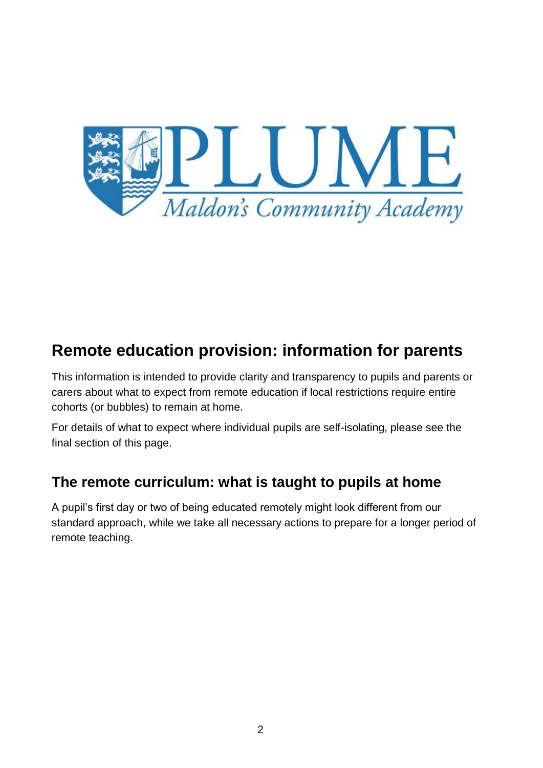

# **Remote education provision: information for parents**

This information is intended to provide clarity and transparency to pupils and parents or carers about what to expect from remote education if local restrictions require entire cohorts (or bubbles) to remain at home.

For details of what to expect where individual pupils are self-isolating, please see the final section of this page.

# **The remote curriculum: what is taught to pupils at home**

A pupil's first day or two of being educated remotely might look different from our standard approach, while we take all necessary actions to prepare for a longer period of remote teaching.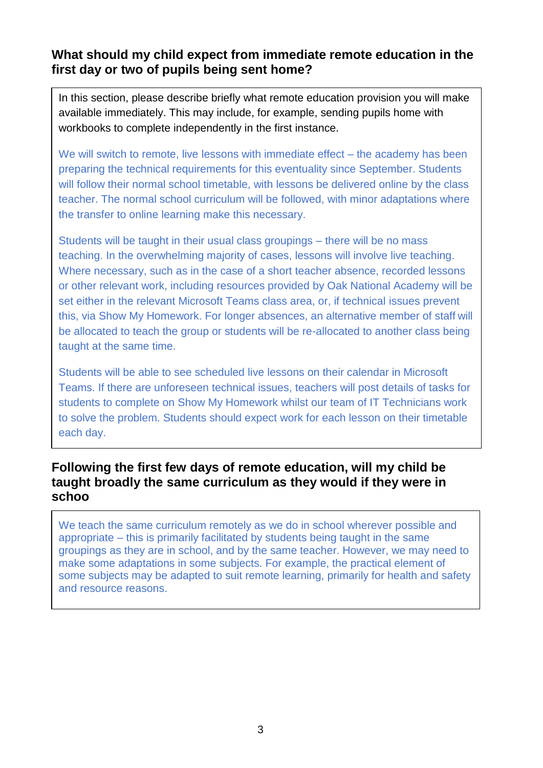### **What should my child expect from immediate remote education in the first day or two of pupils being sent home?**

In this section, please describe briefly what remote education provision you will make available immediately. This may include, for example, sending pupils home with workbooks to complete independently in the first instance.

We will switch to remote, live lessons with immediate effect – the academy has been preparing the technical requirements for this eventuality since September. Students will follow their normal school timetable, with lessons be delivered online by the class teacher. The normal school curriculum will be followed, with minor adaptations where the transfer to online learning make this necessary.

Students will be taught in their usual class groupings – there will be no mass teaching. In the overwhelming majority of cases, lessons will involve live teaching. Where necessary, such as in the case of a short teacher absence, recorded lessons or other relevant work, including resources provided by Oak National Academy will be set either in the relevant Microsoft Teams class area, or, if technical issues prevent this, via Show My Homework. For longer absences, an alternative member of staff will be allocated to teach the group or students will be re-allocated to another class being taught at the same time.

Students will be able to see scheduled live lessons on their calendar in Microsoft Teams. If there are unforeseen technical issues, teachers will post details of tasks for students to complete on Show My Homework whilst our team of IT Technicians work to solve the problem. Students should expect work for each lesson on their timetable each day.

### **Following the first few days of remote education, will my child be taught broadly the same curriculum as they would if they were in schoo**

We teach the same curriculum remotely as we do in school wherever possible and appropriate – this is primarily facilitated by students being taught in the same groupings as they are in school, and by the same teacher. However, we may need to make some adaptations in some subjects. For example, the practical element of some subjects may be adapted to suit remote learning, primarily for health and safety and resource reasons.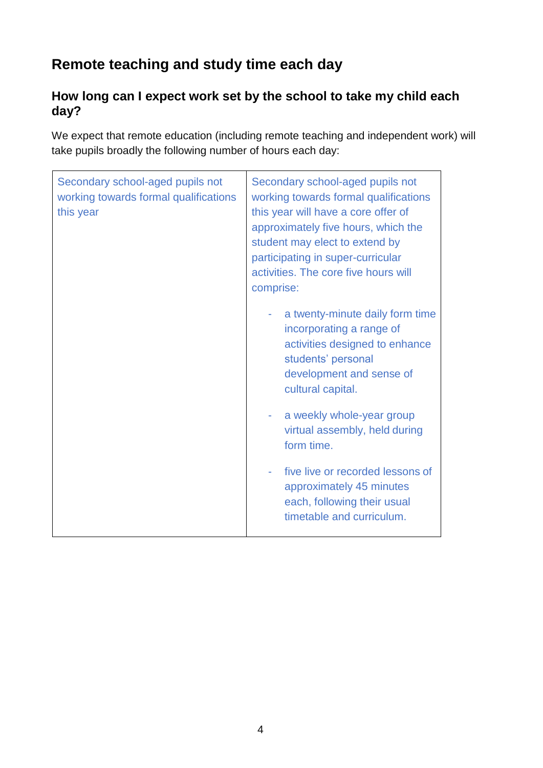# **Remote teaching and study time each day**

## **How long can I expect work set by the school to take my child each day?**

We expect that remote education (including remote teaching and independent work) will take pupils broadly the following number of hours each day:

| Secondary school-aged pupils not<br>working towards formal qualifications<br>this year | Secondary school-aged pupils not<br>working towards formal qualifications<br>this year will have a core offer of<br>approximately five hours, which the<br>student may elect to extend by<br>participating in super-curricular<br>activities. The core five hours will<br>comprise: |
|----------------------------------------------------------------------------------------|-------------------------------------------------------------------------------------------------------------------------------------------------------------------------------------------------------------------------------------------------------------------------------------|
|                                                                                        | a twenty-minute daily form time<br>incorporating a range of<br>activities designed to enhance<br>students' personal<br>development and sense of<br>cultural capital.                                                                                                                |
|                                                                                        | a weekly whole-year group<br>virtual assembly, held during<br>form time.                                                                                                                                                                                                            |
|                                                                                        | five live or recorded lessons of<br>approximately 45 minutes<br>each, following their usual<br>timetable and curriculum.                                                                                                                                                            |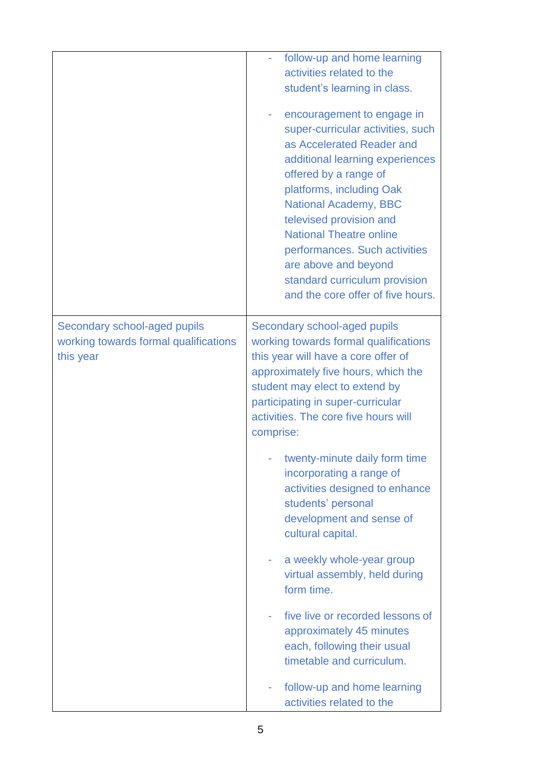|                                                                                    | follow-up and home learning<br>activities related to the<br>student's learning in class.<br>encouragement to engage in<br>super-curricular activities, such<br>as Accelerated Reader and<br>additional learning experiences<br>offered by a range of<br>platforms, including Oak<br><b>National Academy, BBC</b><br>televised provision and<br><b>National Theatre online</b><br>performances. Such activities<br>are above and beyond<br>standard curriculum provision<br>and the core offer of five hours.                                                                                                                                                  |
|------------------------------------------------------------------------------------|---------------------------------------------------------------------------------------------------------------------------------------------------------------------------------------------------------------------------------------------------------------------------------------------------------------------------------------------------------------------------------------------------------------------------------------------------------------------------------------------------------------------------------------------------------------------------------------------------------------------------------------------------------------|
| Secondary school-aged pupils<br>working towards formal qualifications<br>this year | Secondary school-aged pupils<br>working towards formal qualifications<br>this year will have a core offer of<br>approximately five hours, which the<br>student may elect to extend by<br>participating in super-curricular<br>activities. The core five hours will<br>comprise:<br>twenty-minute daily form time<br>incorporating a range of<br>activities designed to enhance<br>students' personal<br>development and sense of<br>cultural capital.<br>a weekly whole-year group<br>virtual assembly, held during<br>form time.<br>five live or recorded lessons of<br>approximately 45 minutes<br>each, following their usual<br>timetable and curriculum. |
|                                                                                    | follow-up and home learning<br>activities related to the                                                                                                                                                                                                                                                                                                                                                                                                                                                                                                                                                                                                      |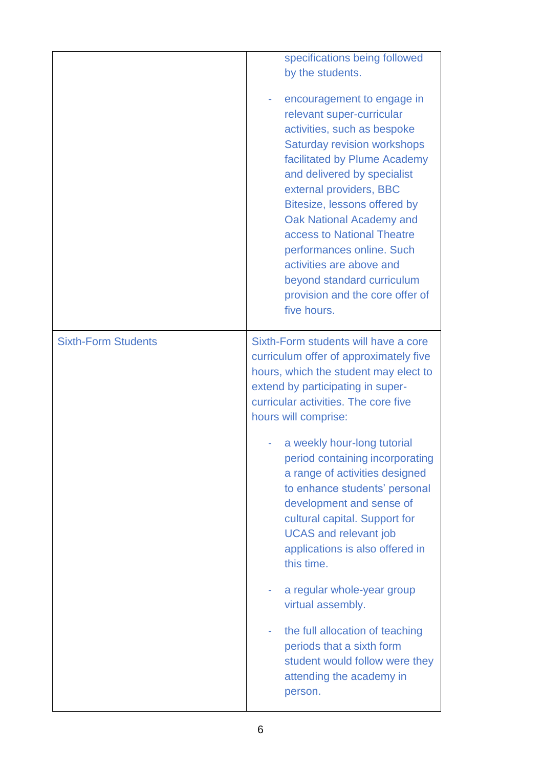|                            | specifications being followed<br>by the students.<br>encouragement to engage in<br>relevant super-curricular<br>activities, such as bespoke<br><b>Saturday revision workshops</b><br>facilitated by Plume Academy<br>and delivered by specialist<br>external providers, BBC<br>Bitesize, lessons offered by<br>Oak National Academy and<br>access to National Theatre<br>performances online. Such<br>activities are above and<br>beyond standard curriculum<br>provision and the core offer of<br>five hours. |
|----------------------------|----------------------------------------------------------------------------------------------------------------------------------------------------------------------------------------------------------------------------------------------------------------------------------------------------------------------------------------------------------------------------------------------------------------------------------------------------------------------------------------------------------------|
| <b>Sixth-Form Students</b> | Sixth-Form students will have a core<br>curriculum offer of approximately five<br>hours, which the student may elect to<br>extend by participating in super-<br>curricular activities. The core five<br>hours will comprise:<br>a weekly hour-long tutorial<br>period containing incorporating<br>a range of activities designed<br>to enhance students' personal<br>development and sense of<br>cultural capital. Support for                                                                                 |
|                            | <b>UCAS and relevant job</b><br>applications is also offered in<br>this time.                                                                                                                                                                                                                                                                                                                                                                                                                                  |
|                            | a regular whole-year group<br>virtual assembly.                                                                                                                                                                                                                                                                                                                                                                                                                                                                |
|                            | the full allocation of teaching<br>periods that a sixth form<br>student would follow were they<br>attending the academy in<br>person.                                                                                                                                                                                                                                                                                                                                                                          |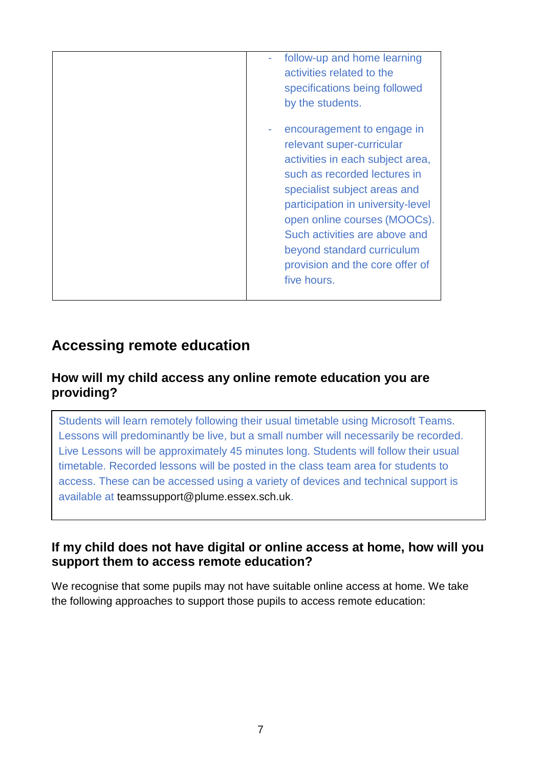| follow-up and home learning<br>activities related to the<br>specifications being followed<br>by the students.                                                                                                                                                                                                                                     |
|---------------------------------------------------------------------------------------------------------------------------------------------------------------------------------------------------------------------------------------------------------------------------------------------------------------------------------------------------|
| encouragement to engage in<br>relevant super-curricular<br>activities in each subject area,<br>such as recorded lectures in<br>specialist subject areas and<br>participation in university-level<br>open online courses (MOOCs).<br>Such activities are above and<br>beyond standard curriculum<br>provision and the core offer of<br>five hours. |

# **Accessing remote education**

### **How will my child access any online remote education you are providing?**

Students will learn remotely following their usual timetable using Microsoft Teams. Lessons will predominantly be live, but a small number will necessarily be recorded. Live Lessons will be approximately 45 minutes long. Students will follow their usual timetable. Recorded lessons will be posted in the class team area for students to access. These can be accessed using a variety of devices and technical support is available at [teamssupport@plume.essex.sch.uk.](mailto:teamssupport@plume.essex.sch.uk)

### **If my child does not have digital or online access at home, how will you support them to access remote education?**

We recognise that some pupils may not have suitable online access at home. We take the following approaches to support those pupils to access remote education: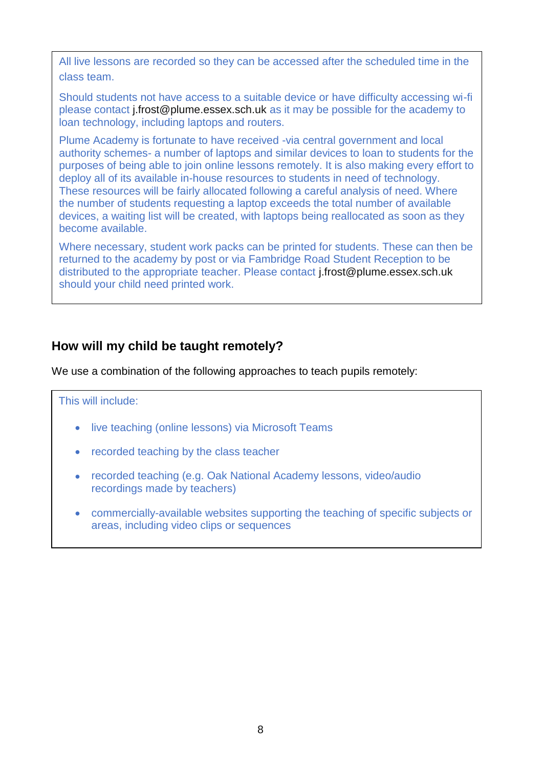All live lessons are recorded so they can be accessed after the scheduled time in the class team.

Should students not have access to a suitable device or have difficulty accessing wi-fi please contact [j.frost@plume.essex.sch.uk](mailto:j.frost@plume.essex.sch.uk) as it may be possible for the academy to loan technology, including laptops and routers.

Plume Academy is fortunate to have received -via central government and local authority schemes- a number of laptops and similar devices to loan to students for the purposes of being able to join online lessons remotely. It is also making every effort to deploy all of its available in-house resources to students in need of technology. These resources will be fairly allocated following a careful analysis of need. Where the number of students requesting a laptop exceeds the total number of available devices, a waiting list will be created, with laptops being reallocated as soon as they become available.

Where necessary, student work packs can be printed for students. These can then be returned to the academy by post or via Fambridge Road Student Reception to be distributed to the appropriate teacher. Please contact [j.frost@plume.essex.sch.uk](mailto:j.frost@plume.essex.sch.uk) should your child need printed work.

# **How will my child be taught remotely?**

We use a combination of the following approaches to teach pupils remotely:

#### This will include:

- live teaching (online lessons) via Microsoft Teams
- recorded teaching by the class teacher
- recorded teaching (e.g. Oak National Academy lessons, video/audio recordings made by teachers)
- commercially-available websites supporting the teaching of specific subjects or areas, including video clips or sequences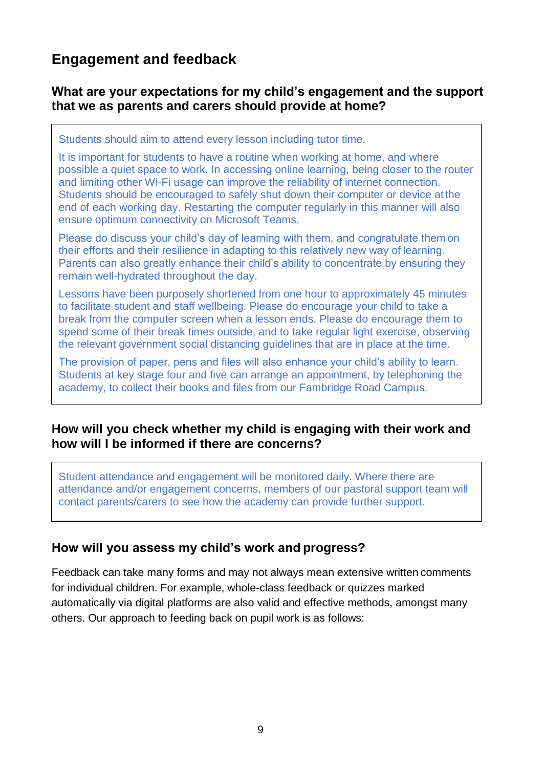# **Engagement and feedback**

### **What are your expectations for my child's engagement and the support that we as parents and carers should provide at home?**

Students should aim to attend every lesson including tutor time.

It is important for students to have a routine when working at home, and where possible a quiet space to work. In accessing online learning, being closer to the router and limiting other Wi-Fi usage can improve the reliability of internet connection. Students should be encouraged to safely shut down their computer or device atthe end of each working day. Restarting the computer regularly in this manner will also ensure optimum connectivity on Microsoft Teams.

Please do discuss your child's day of learning with them, and congratulate them on their efforts and their resilience in adapting to this relatively new way of learning. Parents can also greatly enhance their child's ability to concentrate by ensuring they remain well-hydrated throughout the day.

Lessons have been purposely shortened from one hour to approximately 45 minutes to facilitate student and staff wellbeing. Please do encourage your child to take a break from the computer screen when a lesson ends. Please do encourage them to spend some of their break times outside, and to take regular light exercise, observing the relevant government social distancing guidelines that are in place at the time.

The provision of paper, pens and files will also enhance your child's ability to learn. Students at key stage four and five can arrange an appointment, by telephoning the academy, to collect their books and files from our Fambridge Road Campus.

#### **How will you check whether my child is engaging with their work and how will I be informed if there are concerns?**

Student attendance and engagement will be monitored daily. Where there are attendance and/or engagement concerns, members of our pastoral support team will contact parents/carers to see how the academy can provide further support.

#### **How will you assess my child's work and progress?**

Feedback can take many forms and may not always mean extensive written comments for individual children. For example, whole-class feedback or quizzes marked automatically via digital platforms are also valid and effective methods, amongst many others. Our approach to feeding back on pupil work is as follows: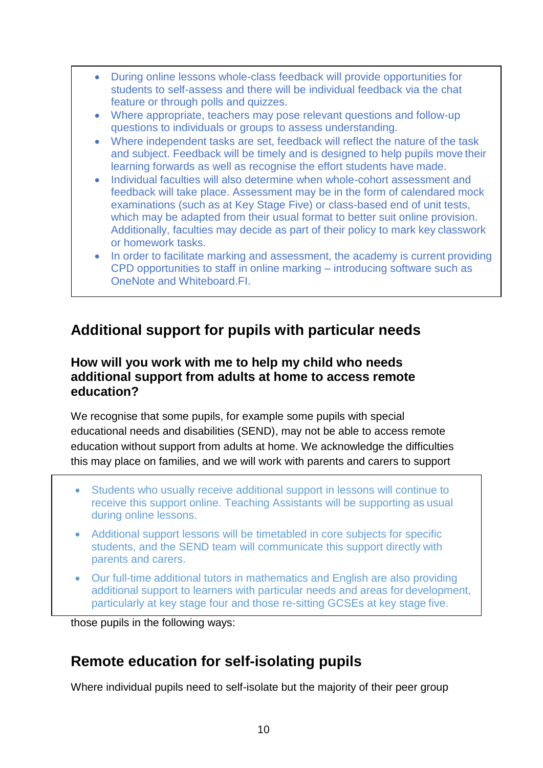- During online lessons whole-class feedback will provide opportunities for students to self-assess and there will be individual feedback via the chat feature or through polls and quizzes.
- Where appropriate, teachers may pose relevant questions and follow-up questions to individuals or groups to assess understanding.
- Where independent tasks are set, feedback will reflect the nature of the task and subject. Feedback will be timely and is designed to help pupils move their learning forwards as well as recognise the effort students have made.
- Individual faculties will also determine when whole-cohort assessment and feedback will take place. Assessment may be in the form of calendared mock examinations (such as at Key Stage Five) or class-based end of unit tests, which may be adapted from their usual format to better suit online provision. Additionally, faculties may decide as part of their policy to mark key classwork or homework tasks.
- In order to facilitate marking and assessment, the academy is current providing CPD opportunities to staff in online marking – introducing software such as OneNote and Whiteboard.FI.

# **Additional support for pupils with particular needs**

### **How will you work with me to help my child who needs additional support from adults at home to access remote education?**

We recognise that some pupils, for example some pupils with special educational needs and disabilities (SEND), may not be able to access remote education without support from adults at home. We acknowledge the difficulties this may place on families, and we will work with parents and carers to support

- Students who usually receive additional support in lessons will continue to receive this support online. Teaching Assistants will be supporting as usual during online lessons.
- Additional support lessons will be timetabled in core subjects for specific students, and the SEND team will communicate this support directly with parents and carers.
- Our full-time additional tutors in mathematics and English are also providing additional support to learners with particular needs and areas for development, particularly at key stage four and those re-sitting GCSEs at key stage five.

those pupils in the following ways:

# **Remote education for self-isolating pupils**

Where individual pupils need to self-isolate but the majority of their peer group